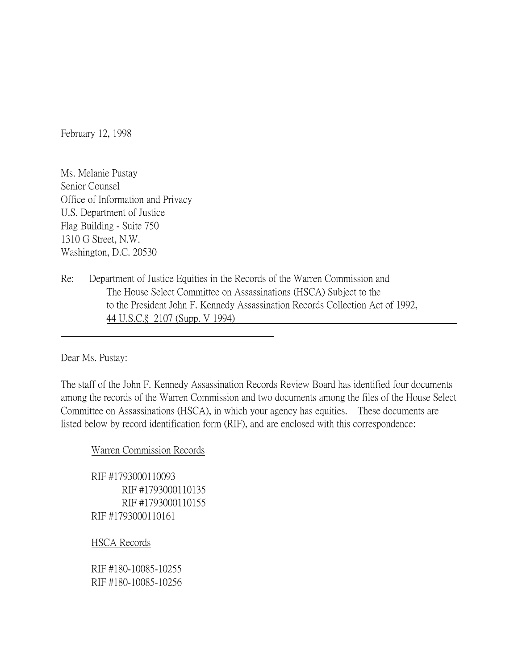February 12, 1998

Ms. Melanie Pustay Senior Counsel Office of Information and Privacy U.S. Department of Justice Flag Building - Suite 750 1310 G Street, N.W. Washington, D.C. 20530

Re: Department of Justice Equities in the Records of the Warren Commission and The House Select Committee on Assassinations (HSCA) Subject to the to the President John F. Kennedy Assassination Records Collection Act of 1992, 44 U.S.C.§ 2107 (Supp. V 1994)

Dear Ms. Pustay:

The staff of the John F. Kennedy Assassination Records Review Board has identified four documents among the records of the Warren Commission and two documents among the files of the House Select Committee on Assassinations (HSCA), in which your agency has equities. These documents are listed below by record identification form (RIF), and are enclosed with this correspondence:

## Warren Commission Records

RIF #1793000110093 RIF #1793000110135 RIF #1793000110155 RIF #1793000110161

HSCA Records

RIF #180-10085-10255 RIF #180-10085-10256